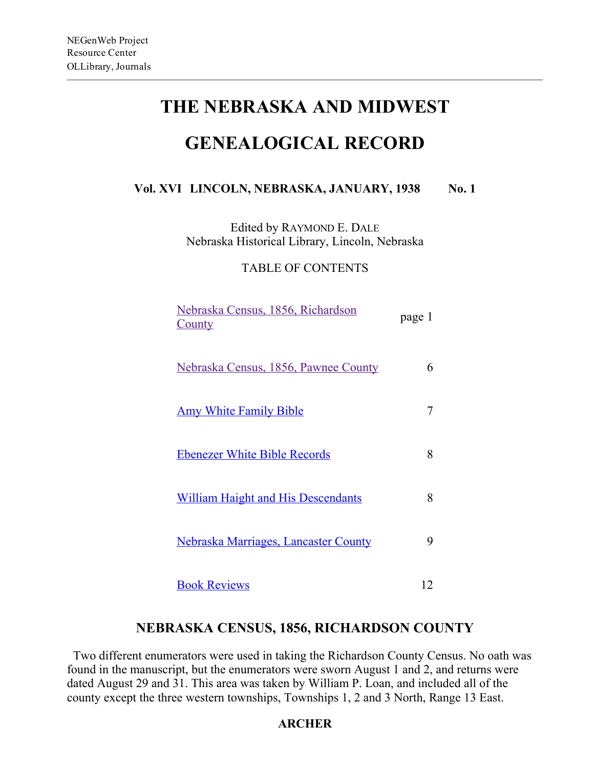# THE NEBRASKA AND MIDWEST

## GENEALOGICAL RECORD

## Vol. XVI LINCOLN, NEBRASKA, JANUARY, 1938 No. 1

Edited by RAYMOND E. DALE Nebraska Historical Library, Lincoln, Nebraska

TABLE OF CONTENTS

| Nebraska Census, 1856, Richardson<br><u>County</u> | page 1 |
|----------------------------------------------------|--------|
| <u>Nebraska Census, 1856, Pawnee County</u>        | 6      |
| <u>Amy White Family Bible</u>                      |        |
| <b>Ebenezer White Bible Records</b>                | 8      |
| <b>William Haight and His Descendants</b>          | 8      |
| Nebraska Marriages, Lancaster County               | 9      |
| <b>Book Reviews</b>                                | 12     |

## NEBRASKA CENSUS, 1856, RICHARDSON COUNTY

Two different enumerators were used in taking the Richardson County Census. No oath was found in the manuscript, but the enumerators were sworn August 1 and 2, and returns were dated August 29 and 31. This area was taken by William P. Loan, and included all of the county except the three western townships, Townships 1, 2 and 3 North, Range 13 East.

## ARCHER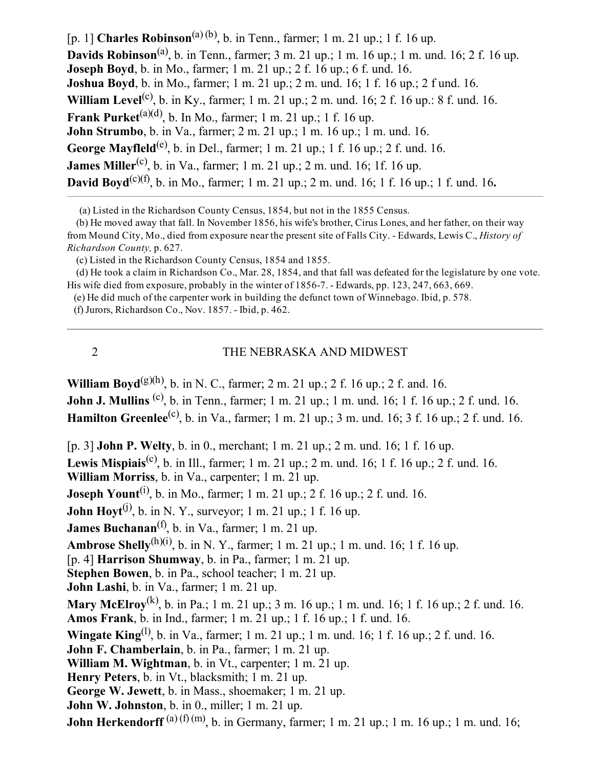[p. 1] **Charles Robinson**<sup>(a) (b)</sup>, b. in Tenn., farmer; 1 m. 21 up.; 1 f. 16 up. **Davids Robinson**<sup>(a)</sup>, b. in Tenn., farmer; 3 m. 21 up.; 1 m. 16 up.; 1 m. und. 16; 2 f. 16 up. **Joseph Boyd**, b. in Mo., farmer; 1 m. 21 up.; 2 f. 16 up.; 6 f. und. 16. Joshua Boyd, b. in Mo., farmer; 1 m. 21 up.; 2 m. und. 16; 1 f. 16 up.; 2 f und. 16. **William Level**<sup>(c)</sup>, b. in Ky., farmer; 1 m. 21 up.; 2 m. und. 16; 2 f. 16 up.: 8 f. und. 16. Frank Purket<sup>(a)(d)</sup>, b. In Mo., farmer; 1 m. 21 up.; 1 f. 16 up. **John Strumbo**, b. in Va., farmer; 2 m. 21 up.;  $1 \text{ m}$ . 16 up.;  $1 \text{ m}$ . und. 16. George Mayfleld<sup>(e)</sup>, b. in Del., farmer; 1 m. 21 up.; 1 f. 16 up.; 2 f. und. 16. **James Miller<sup>(c)</sup>**, b. in Va., farmer; 1 m. 21 up.; 2 m. und. 16; 1f. 16 up. **David Boyd**<sup>(c)(f)</sup>, b. in Mo., farmer; 1 m. 21 up.; 2 m. und. 16; 1 f. 16 up.; 1 f. und. 16.

(a) Listed in the Richardson County Census, 1854, but not in the 1855 Census.

(b) He moved away that fall. In November 1856, his wife's brother, Cirus Lones, and her father, on their way from Mound City, Mo., died from exposure near the present site of Falls City. - Edwards, Lewis C., *History of* Richardson County, p. 627.

(c) Listed in the Richardson County Census, 1854 and 1855.

(d) He took a claim in Richardson Co., Mar. 28, 1854, and that fall was defeated for the legislature by one vote. His wife died from exposure, probably in the winter of 18567. Edwards, pp. 123, 247, 663, 669.

(e) He did much of the carpenter work in building the defunct town of Winnebago. Ibid, p. 578.

(f) Jurors, Richardson Co., Nov. 1857. Ibid, p. 462.

#### 2 THE NEBRASKA AND MIDWEST

**William Boyd**<sup>(g)(h)</sup>, b. in N. C., farmer; 2 m. 21 up.; 2 f. 16 up.; 2 f. and. 16. **John J. Mullins** <sup>(c)</sup>, b. in Tenn., farmer; 1 m. 21 up.; 1 m. und. 16; 1 f. 16 up.; 2 f. und. 16. **Hamilton Greenlee**<sup>(c)</sup>, b. in Va., farmer; 1 m. 21 up.; 3 m. und. 16; 3 f. 16 up.; 2 f. und. 16.

[p. 3] John P. Welty, b. in 0., merchant; 1 m. 21 up.; 2 m. und. 16; 1 f. 16 up. **Lewis Mispiais**<sup>(c)</sup>, b. in Ill., farmer; 1 m. 21 up.; 2 m. und. 16; 1 f. 16 up.; 2 f. und. 16. William Morriss, b. in Va., carpenter; 1 m. 21 up. **Joseph Yount**<sup>(i)</sup>, b. in Mo., farmer; 1 m. 21 up.; 2 f. 16 up.; 2 f. und. 16. **John Hoyt**<sup>(j)</sup>, b. in N. Y., surveyor; 1 m. 21 up.; 1 f. 16 up. **James Buchanan**<sup>(f)</sup>, b. in Va., farmer; 1 m. 21 up. **Ambrose Shelly**<sup>(h)(i)</sup>, b. in N. Y., farmer; 1 m. 21 up.; 1 m. und. 16; 1 f. 16 up. [p. 4] Harrison Shumway, b. in Pa., farmer; 1 m. 21 up. Stephen Bowen, b. in Pa., school teacher; 1 m. 21 up. John Lashi, b. in Va., farmer; 1 m. 21 up. **Mary McElroy**<sup>(k)</sup>, b. in Pa.; 1 m. 21 up.; 3 m. 16 up.; 1 m. und. 16; 1 f. 16 up.; 2 f. und. 16. Amos Frank, b. in Ind., farmer; 1 m. 21 up.; 1 f. 16 up.; 1 f. und. 16. **Wingate King**<sup>(1)</sup>, b. in Va., farmer; 1 m. 21 up.; 1 m. und. 16; 1 f. 16 up.; 2 f. und. 16. John F. Chamberlain, b. in Pa., farmer; 1 m. 21 up. William M. Wightman, b. in Vt., carpenter; 1 m. 21 up. Henry Peters, b. in Vt., blacksmith; 1 m. 21 up. George W. Jewett, b. in Mass., shoemaker; 1 m. 21 up. John W. Johnston, b. in 0., miller; 1 m. 21 up. **John Herkendorff** (a) (f) (m), b. in Germany, farmer; 1 m. 21 up.; 1 m. 16 up.; 1 m. und. 16;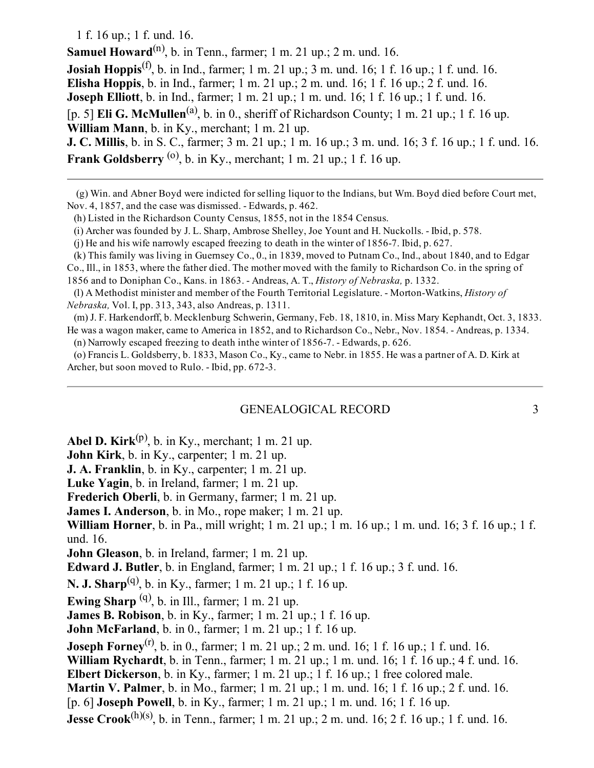1 f. 16 up.; 1 f. und. 16.

Samuel Howard<sup>(n)</sup>, b. in Tenn., farmer; 1 m. 21 up.; 2 m. und. 16. **Josiah Hoppis**<sup>(f)</sup>, b. in Ind., farmer; 1 m. 21 up.; 3 m. und. 16; 1 f. 16 up.; 1 f. und. 16. Elisha Hoppis, b. in Ind., farmer; 1 m. 21 up.; 2 m. und. 16; 1 f. 16 up.; 2 f. und. 16. Joseph Elliott, b. in Ind., farmer; 1 m. 21 up.; 1 m. und. 16; 1 f. 16 up.; 1 f. und. 16. [p. 5] **Eli G. McMullen**<sup>(a)</sup>, b. in 0., sheriff of Richardson County; 1 m. 21 up.; 1 f. 16 up. William Mann, b. in Ky., merchant; 1 m. 21 up. J. C. Millis, b. in S. C., farmer; 3 m. 21 up.; 1 m. 16 up.; 3 m. und. 16; 3 f. 16 up.; 1 f. und. 16. **Frank Goldsberry** <sup>(0)</sup>, b. in Ky., merchant; 1 m. 21 up.; 1 f. 16 up.

(g) Win. and Abner Boyd were indicted for selling liquor to the Indians, but Wm. Boyd died before Court met, Nov. 4, 1857, and the case was dismissed. Edwards, p. 462.

(h) Listed in the Richardson County Census, 1855, not in the 1854 Census.

(i) Archer was founded by J. L. Sharp, Ambrose Shelley, Joe Yount and H. Nuckolls. Ibid, p. 578.

(j) He and his wife narrowly escaped freezing to death in the winter of 18567. Ibid, p. 627.

(k) This family was living in Guernsey Co., 0., in 1839, moved to Putnam Co., Ind., about 1840, and to Edgar Co., Ill., in 1853, where the father died. The mother moved with the family to Richardson Co. in the spring of 1856 and to Doniphan Co., Kans. in 1863. Andreas, A. T., History of Nebraska, p. 1332.

(l) A Methodist minister and member of the Fourth Territorial Legislature. - Morton-Watkins, History of Nebraska, Vol. I, pp. 313, 343, also Andreas, p. 1311.

(m) J. F. Harkendorff, b. Mecklenburg Schwerin, Germany, Feb. 18, 1810, in. Miss Mary Kephandt, Oct. 3, 1833. He was a wagon maker, came to America in 1852, and to Richardson Co., Nebr., Nov. 1854. Andreas, p. 1334.

(n) Narrowly escaped freezing to death inthe winter of 18567. Edwards, p. 626.

(o) Francis L. Goldsberry, b. 1833, Mason Co., Ky., came to Nebr. in 1855. He was a partner of A. D. Kirk at Archer, but soon moved to Rulo. - Ibid, pp. 672-3.

#### GENEALOGICAL RECORD 3

**Abel D. Kirk**<sup>(p)</sup>, b. in Ky., merchant; 1 m. 21 up.

John Kirk, b. in Ky., carpenter; 1 m. 21 up.

J. A. Franklin, b. in Ky., carpenter; 1 m. 21 up.

Luke Yagin, b. in Ireland, farmer; 1 m. 21 up.

Frederich Oberli, b. in Germany, farmer; 1 m. 21 up.

James I. Anderson, b. in Mo., rope maker; 1 m. 21 up.

William Horner, b. in Pa., mill wright; 1 m. 21 up.; 1 m. 16 up.; 1 m. und. 16; 3 f. 16 up.; 1 f. und. 16.

John Gleason, b. in Ireland, farmer; 1 m. 21 up.

Edward J. Butler, b. in England, farmer; 1 m. 21 up.; 1 f. 16 up.; 3 f. und. 16.

**N. J. Sharp**<sup>(q)</sup>, b. in Ky., farmer; 1 m. 21 up.; 1 f. 16 up.

Ewing Sharp  $(q)$ , b. in Ill., farmer; 1 m. 21 up.

**James B. Robison**, b. in Ky., farmer;  $1 \text{ m}$ ,  $21 \text{ up}$ ;  $1 \text{ f}$ ,  $16 \text{ up}$ .

**John McFarland**, b. in 0., farmer; 1 m. 21 up.; 1 f. 16 up.

**Joseph Forney**<sup>(r)</sup>, b. in 0., farmer; 1 m. 21 up.; 2 m. und. 16; 1 f. 16 up.; 1 f. und. 16.

William Rychardt, b. in Tenn., farmer; 1 m. 21 up.; 1 m. und. 16; 1 f. 16 up.; 4 f. und. 16.

Elbert Dickerson, b. in Ky., farmer; 1 m. 21 up.; 1 f. 16 up.; 1 free colored male.

Martin V. Palmer, b. in Mo., farmer; 1 m. 21 up.; 1 m. und. 16; 1 f. 16 up.; 2 f. und. 16. [p. 6] Joseph Powell, b. in Ky., farmer; 1 m. 21 up.; 1 m. und. 16; 1 f. 16 up.

**Jesse Crook**<sup>(h)(s)</sup>, b. in Tenn., farmer; 1 m. 21 up.; 2 m. und. 16; 2 f. 16 up.; 1 f. und. 16.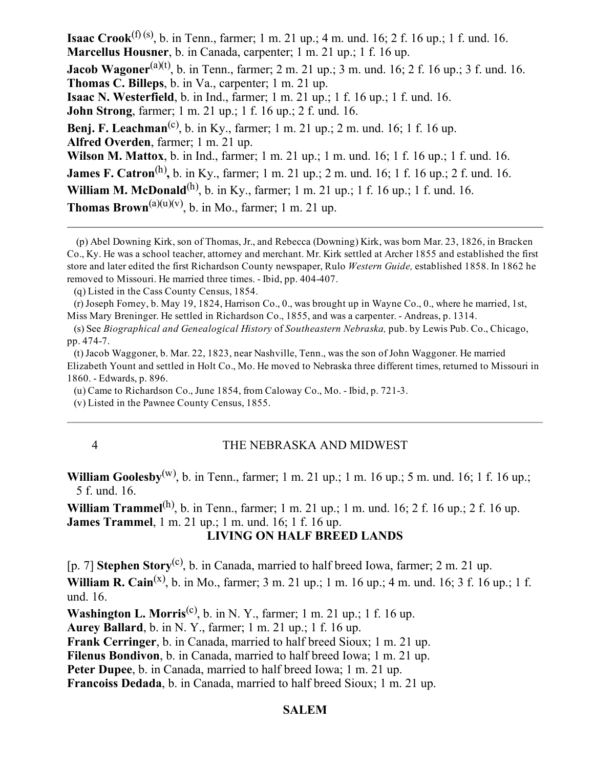**Isaac Crook**<sup>(f) (s)</sup>, b. in Tenn., farmer; 1 m. 21 up.; 4 m. und. 16; 2 f. 16 up.; 1 f. und. 16. Marcellus Housner, b. in Canada, carpenter; 1 m. 21 up.; 1 f. 16 up. **Jacob Wagoner**<sup>(a)(t)</sup>, b. in Tenn., farmer; 2 m. 21 up.; 3 m. und. 16; 2 f. 16 up.; 3 f. und. 16. Thomas C. Billeps, b. in Va., carpenter; 1 m. 21 up. Isaac N. Westerfield, b. in Ind., farmer; 1 m. 21 up.; 1 f. 16 up.; 1 f. und. 16. John Strong, farmer; 1 m. 21 up.; 1 f. 16 up.; 2 f. und. 16. **Benj. F. Leachman**<sup>(c)</sup>, b. in Ky., farmer; 1 m. 21 up.; 2 m. und. 16; 1 f. 16 up. Alfred Overden, farmer; 1 m. 21 up. Wilson M. Mattox, b. in Ind., farmer; 1 m. 21 up.; 1 m. und. 16; 1 f. 16 up.; 1 f. und. 16. **James F. Catron**<sup>(h)</sup>, b. in Ky., farmer; 1 m. 21 up.; 2 m. und. 16; 1 f. 16 up.; 2 f. und. 16. **William M. McDonald**<sup>(h)</sup>, b. in Ky., farmer; 1 m. 21 up.; 1 f. 16 up.; 1 f. und. 16. **Thomas Brown**<sup>(a)(u)(v)</sup>, b. in Mo., farmer; 1 m. 21 up.

(p) Abel Downing Kirk, son of Thomas, Jr., and Rebecca (Downing) Kirk, was born Mar. 23, 1826, in Bracken Co., Ky. He was a school teacher, attorney and merchant. Mr. Kirk settled at Archer 1855 and established the first store and later edited the first Richardson County newspaper, Rulo Western Guide, established 1858. In 1862 he removed to Missouri. He married three times. - Ibid, pp. 404-407.

(q) Listed in the Cass County Census, 1854.

(r) Joseph Forney, b. May 19, 1824, Harrison Co., 0., was brought up in Wayne Co., 0., where he married, 1st, Miss Mary Breninger. He settled in Richardson Co., 1855, and was a carpenter. Andreas, p. 1314.

(s) See Biographical and Genealogical History of Southeastern Nebraska, pub. by Lewis Pub. Co., Chicago, pp. 474-7.

(t) Jacob Waggoner, b. Mar. 22, 1823, near Nashville, Tenn., was the son of John Waggoner. He married Elizabeth Yount and settled in Holt Co., Mo. He moved to Nebraska three different times, returned to Missouri in 1860. Edwards, p. 896.

(u) Came to Richardson Co., June 1854, from Caloway Co., Mo. - Ibid, p.  $721-3$ .

(v) Listed in the Pawnee County Census, 1855.

#### 4 THE NEBRASKA AND MIDWEST

## **William Goolesby**<sup>(w)</sup>, b. in Tenn., farmer; 1 m. 21 up.; 1 m. 16 up.; 5 m. und. 16; 1 f. 16 up.; 5 f. und. 16.

**William Trammel**<sup>(h)</sup>, b. in Tenn., farmer; 1 m. 21 up.; 1 m. und. 16; 2 f. 16 up.; 2 f. 16 up. James Trammel, 1 m. 21 up.; 1 m. und. 16; 1 f. 16 up.

#### LIVING ON HALF BREED LANDS

[p. 7] **Stephen Story**<sup>(c)</sup>, b. in Canada, married to half breed Iowa, farmer; 2 m. 21 up.

**William R. Cain**<sup>(x)</sup>, b. in Mo., farmer; 3 m. 21 up.; 1 m. 16 up.; 4 m. und. 16; 3 f. 16 up.; 1 f. und. 16.

**Washington L. Morris**<sup>(c)</sup>, b. in N. Y., farmer; 1 m. 21 up.; 1 f. 16 up.

Aurey Ballard, b. in N. Y., farmer; 1 m. 21 up.; 1 f. 16 up.

Frank Cerringer, b. in Canada, married to half breed Sioux; 1 m. 21 up.

Filenus Bondivon, b. in Canada, married to half breed Iowa; 1 m. 21 up.

Peter Dupee, b. in Canada, married to half breed Iowa; 1 m. 21 up.

Francoiss Dedada, b. in Canada, married to half breed Sioux; 1 m. 21 up.

#### SALEM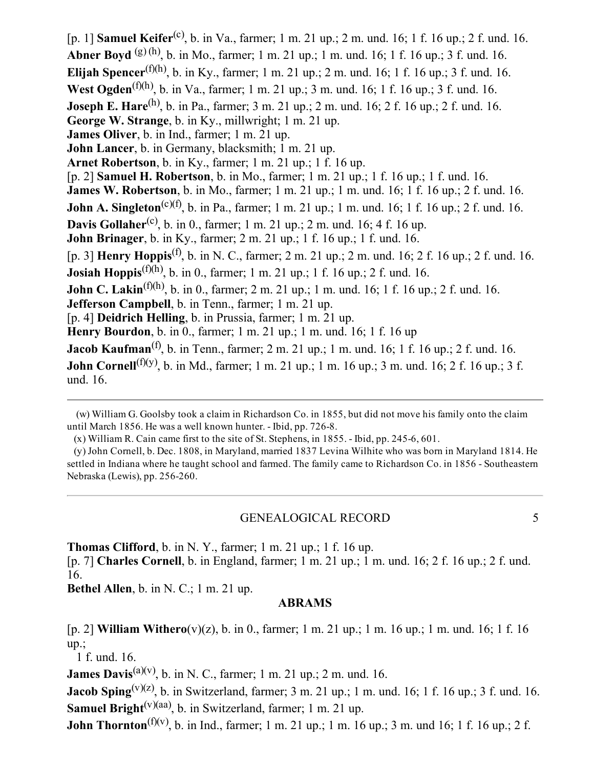[p. 1] **Samuel Keifer**<sup>(c)</sup>, b. in Va., farmer; 1 m. 21 up.; 2 m. und. 16; 1 f. 16 up.; 2 f. und. 16. **Abner Boyd** (g)(h), b. in Mo., farmer; 1 m. 21 up.; 1 m. und. 16; 1 f. 16 up.; 3 f. und. 16. **Elijah Spencer**<sup>(f)(h)</sup>, b. in Ky., farmer; 1 m. 21 up.; 2 m. und. 16; 1 f. 16 up.; 3 f. und. 16. **West Ogden**<sup>(f)(h)</sup>, b. in Va., farmer; 1 m. 21 up.; 3 m. und. 16; 1 f. 16 up.; 3 f. und. 16. **Joseph E. Hare**<sup>(h)</sup>, b. in Pa., farmer; 3 m. 21 up.; 2 m. und. 16; 2 f. 16 up.; 2 f. und. 16. George W. Strange, b. in Ky., millwright; 1 m. 21 up. James Oliver, b. in Ind., farmer; 1 m. 21 up. John Lancer, b. in Germany, blacksmith; 1 m. 21 up. Arnet Robertson, b. in Ky., farmer; 1 m. 21 up.; 1 f. 16 up. [p. 2] Samuel H. Robertson, b. in Mo., farmer; 1 m. 21 up.; 1 f. 16 up.; 1 f. und. 16. **James W. Robertson**, b. in Mo., farmer; 1 m. 21 up.; 1 m. und. 16; 1 f. 16 up.; 2 f. und. 16. **John A. Singleton**<sup>(c)(f)</sup>, b. in Pa., farmer; 1 m. 21 up.; 1 m. und. 16; 1 f. 16 up.; 2 f. und. 16. **Davis Gollaher**<sup>(c)</sup>, b. in 0., farmer; 1 m. 21 up.; 2 m. und. 16; 4 f. 16 up. John Brinager, b. in Ky., farmer; 2 m. 21 up.; 1 f. 16 up.; 1 f. und. 16. [p. 3] **Henry Hoppis**<sup>(f)</sup>, b. in N. C., farmer; 2 m. 21 up.; 2 m. und. 16; 2 f. 16 up.; 2 f. und. 16. **Josiah Hoppis**<sup>(f)(h)</sup>, b. in 0., farmer; 1 m. 21 up.; 1 f. 16 up.; 2 f. und. 16. **John C. Lakin**<sup>(f)(h)</sup>, b. in 0., farmer; 2 m. 21 up.; 1 m. und. 16; 1 f. 16 up.; 2 f. und. 16. Jefferson Campbell, b. in Tenn., farmer; 1 m. 21 up. [p. 4] Deidrich Helling, b. in Prussia, farmer; 1 m. 21 up. Henry Bourdon, b. in 0., farmer; 1 m. 21 up.; 1 m. und. 16; 1 f. 16 up **Jacob Kaufman**<sup>(f)</sup>, b. in Tenn., farmer; 2 m. 21 up.; 1 m. und. 16; 1 f. 16 up.; 2 f. und. 16. **John Cornell**<sup>(f)(y)</sup>, b. in Md., farmer; 1 m. 21 up.; 1 m. 16 up.; 3 m. und. 16; 2 f. 16 up.; 3 f. und. 16.

#### GENEALOGICAL RECORD 5

**Thomas Clifford**, b. in N. Y., farmer;  $1 \text{ m}$ .  $21 \text{ up}$ .;  $1 \text{ f}$ .  $16 \text{ up}$ .

[p. 7] Charles Cornell, b. in England, farmer; 1 m. 21 up.; 1 m. und. 16; 2 f. 16 up.; 2 f. und. 16.

Bethel Allen, b. in N. C.; 1 m. 21 up.

#### ABRAMS

[p. 2] William Withero(v)(z), b. in 0., farmer; 1 m. 21 up.; 1 m. 16 up.; 1 m. und. 16; 1 f. 16  $up$ ;

1 f. und. 16.

**James Davis**<sup>(a)(v)</sup>, b. in N. C., farmer; 1 m. 21 up.; 2 m. und. 16.

**Jacob Sping**<sup>(v)(z)</sup>, b. in Switzerland, farmer; 3 m. 21 up.; 1 m. und. 16; 1 f. 16 up.; 3 f. und. 16. **Samuel Bright**<sup>(v)(aa)</sup>, b. in Switzerland, farmer; 1 m. 21 up.

**John Thornton**<sup>(f)(v)</sup>, b. in Ind., farmer; 1 m. 21 up.; 1 m. 16 up.; 3 m. und 16; 1 f. 16 up.; 2 f.

<sup>(</sup>w) William G. Goolsby took a claim in Richardson Co. in 1855, but did not move his family onto the claim until March 1856. He was a well known hunter. - Ibid, pp. 726-8.

 $(x)$  William R. Cain came first to the site of St. Stephens, in 1855.  $\overline{\phantom{a}}$ - Ibid, pp. 245-6, 601.

<sup>(</sup>y) John Cornell, b. Dec. 1808, in Maryland, married 1837 Levina Wilhite who was born in Maryland 1814. He settled in Indiana where he taught school and farmed. The family came to Richardson Co. in 1856 - Southeastern Nebraska (Lewis), pp. 256-260.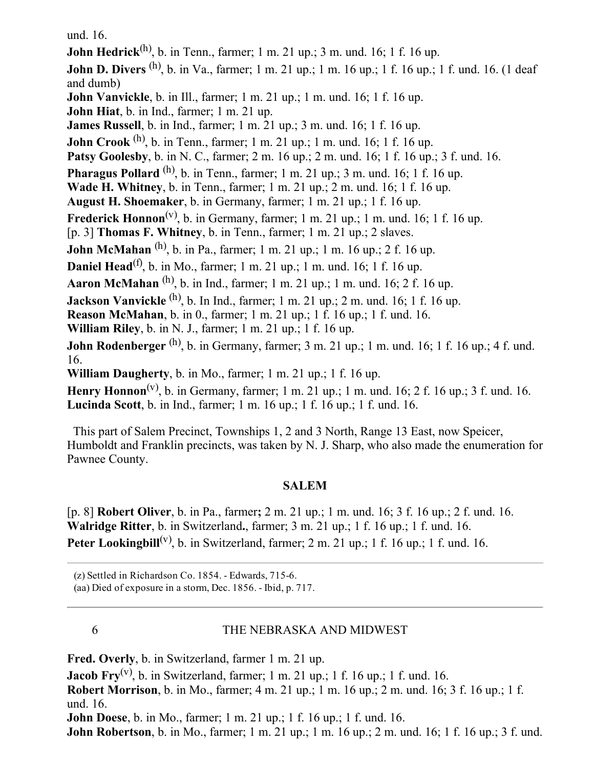und. 16.

**John Hedrick**<sup>(h)</sup>, b. in Tenn., farmer; 1 m. 21 up.; 3 m. und. 16; 1 f. 16 up. **John D. Divers** <sup>(h)</sup>, b. in Va., farmer; 1 m. 21 up.; 1 m. 16 up.; 1 f. 16 up.; 1 f. und. 16. (1 deaf and dumb) **John Vanvickle**, b. in Ill., farmer; 1 m. 21 up.; 1 m. und. 16; 1 f. 16 up. John Hiat, b. in Ind., farmer; 1 m. 21 up. **James Russell**, b. in Ind., farmer; 1 m.  $21$  up.; 3 m. und. 16; 1 f. 16 up. **John Crook** <sup>(h)</sup>, b. in Tenn., farmer; 1 m. 21 up.; 1 m. und. 16; 1 f. 16 up. Patsy Goolesby, b. in N. C., farmer; 2 m. 16 up.; 2 m. und. 16; 1 f. 16 up.; 3 f. und. 16. **Pharagus Pollard**  $^{(h)}$ , b. in Tenn., farmer; 1 m. 21 up.; 3 m. und. 16; 1 f. 16 up. Wade H. Whitney, b. in Tenn., farmer; 1 m. 21 up.; 2 m. und. 16; 1 f. 16 up. August H. Shoemaker, b. in Germany, farmer; 1 m. 21 up.; 1 f. 16 up. Frederick Honnon<sup>(v)</sup>, b. in Germany, farmer; 1 m. 21 up.; 1 m. und. 16; 1 f. 16 up. [p. 3] Thomas F. Whitney, b. in Tenn., farmer; 1 m. 21 up.; 2 slaves. **John McMahan**  $^{(h)}$ , b. in Pa., farmer; 1 m. 21 up.; 1 m. 16 up.; 2 f. 16 up. **Daniel Head**<sup>(f)</sup>, b. in Mo., farmer; 1 m. 21 up.; 1 m. und. 16; 1 f. 16 up. **Aaron McMahan**  $^{(h)}$ , b. in Ind., farmer; 1 m. 21 up.; 1 m. und. 16; 2 f. 16 up. **Jackson Vanvickle** <sup>(h)</sup>, b. In Ind., farmer; 1 m. 21 up.; 2 m. und. 16; 1 f. 16 up. Reason McMahan, b. in 0., farmer; 1 m. 21 up.; 1 f. 16 up.; 1 f. und. 16. William Riley, b. in N. J., farmer; 1 m. 21 up.; 1 f. 16 up. **John Rodenberger** <sup>(h)</sup>, b. in Germany, farmer; 3 m. 21 up.; 1 m. und. 16; 1 f. 16 up.; 4 f. und. 16. William Daugherty, b. in Mo., farmer; 1 m. 21 up.; 1 f. 16 up. Henry Honnon<sup>(v)</sup>, b. in Germany, farmer; 1 m. 21 up.; 1 m. und. 16; 2 f. 16 up.; 3 f. und. 16. Lucinda Scott, b. in Ind., farmer; 1 m. 16 up.; 1 f. 16 up.; 1 f. und. 16.

This part of Salem Precinct, Townships 1, 2 and 3 North, Range 13 East, now Speicer, Humboldt and Franklin precincts, was taken by N. J. Sharp, who also made the enumeration for Pawnee County.

## SALEM

[p. 8] Robert Oliver, b. in Pa., farmer; 2 m. 21 up.; 1 m. und. 16; 3 f. 16 up.; 2 f. und. 16. Walridge Ritter, b. in Switzerland., farmer; 3 m. 21 up.; 1 f. 16 up.; 1 f. und. 16. Peter Lookingbill<sup>(v)</sup>, b. in Switzerland, farmer; 2 m. 21 up.; 1 f. 16 up.; 1 f. und. 16.

(z) Settled in Richardson Co. 1854. Edwards, 7156.

(aa) Died of exposure in a storm, Dec. 1856. Ibid, p. 717.

## 6 THE NEBRASKA AND MIDWEST

Fred. Overly, b. in Switzerland, farmer 1 m. 21 up.

**Jacob Fry**<sup>(v)</sup>, b. in Switzerland, farmer; 1 m. 21 up.; 1 f. 16 up.; 1 f. und. 16.

Robert Morrison, b. in Mo., farmer; 4 m. 21 up.; 1 m. 16 up.; 2 m. und. 16; 3 f. 16 up.; 1 f. und. 16.

John Doese, b. in Mo., farmer; 1 m. 21 up.; 1 f. 16 up.; 1 f. und. 16.

John Robertson, b. in Mo., farmer; 1 m. 21 up.; 1 m. 16 up.; 2 m. und. 16; 1 f. 16 up.; 3 f. und.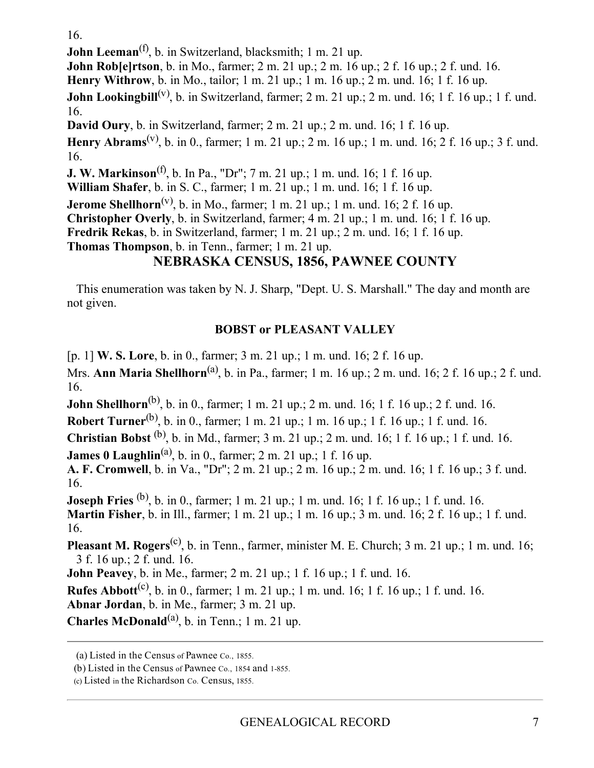16.

John Leeman<sup>(f)</sup>, b. in Switzerland, blacksmith; 1 m. 21 up.

John Rob[e]rtson, b. in Mo., farmer; 2 m. 21 up.; 2 m. 16 up.; 2 f. 16 up.; 2 f. und. 16.

Henry Withrow, b. in Mo., tailor; 1 m. 21 up.; 1 m. 16 up.; 2 m. und. 16; 1 f. 16 up.

**John Lookingbill**<sup>(v)</sup>, b. in Switzerland, farmer; 2 m. 21 up.; 2 m. und. 16; 1 f. 16 up.; 1 f. und. 16.

David Oury, b. in Switzerland, farmer; 2 m. 21 up.; 2 m. und. 16; 1 f. 16 up.

Henry Abrams<sup>(v)</sup>, b. in 0., farmer; 1 m. 21 up.; 2 m. 16 up.; 1 m. und. 16; 2 f. 16 up.; 3 f. und. 16.

**J. W. Markinson**<sup>(f)</sup>, b. In Pa., "Dr"; 7 m. 21 up.; 1 m. und. 16; 1 f. 16 up.

William Shafer, b. in S. C., farmer; 1 m. 21 up.; 1 m. und. 16; 1 f. 16 up.

**Jerome Shellhorn**<sup>(v)</sup>, b. in Mo., farmer; 1 m. 21 up.; 1 m. und. 16; 2 f. 16 up.

Christopher Overly, b. in Switzerland, farmer; 4 m. 21 up.; 1 m. und. 16; 1 f. 16 up.

Fredrik Rekas, b. in Switzerland, farmer; 1 m. 21 up.; 2 m. und. 16; 1 f. 16 up.

Thomas Thompson, b. in Tenn., farmer; 1 m. 21 up.

## NEBRASKA CENSUS, 1856, PAWNEE COUNTY

This enumeration was taken by N. J. Sharp, "Dept. U. S. Marshall." The day and month are not given.

## BOBST or PLEASANT VALLEY

[p. 1] W. S. Lore, b. in 0., farmer; 3 m. 21 up.; 1 m. und. 16; 2 f. 16 up.

Mrs. **Ann Maria Shellhorn**<sup>(a)</sup>, b. in Pa., farmer; 1 m. 16 up.; 2 m. und. 16; 2 f. 16 up.; 2 f. und. 16.

**John Shellhorn**<sup>(b)</sup>, b. in 0., farmer; 1 m. 21 up.; 2 m. und. 16; 1 f. 16 up.; 2 f. und. 16.

**Robert Turner**<sup>(b)</sup>, b. in 0., farmer; 1 m. 21 up.; 1 m. 16 up.; 1 f. 16 up.; 1 f. und. 16.

**Christian Bobst** <sup>(b)</sup>, b. in Md., farmer; 3 m. 21 up.; 2 m. und. 16; 1 f. 16 up.; 1 f. und. 16.

**James 0 Laughlin**<sup>(a)</sup>, b. in 0., farmer; 2 m. 21 up.; 1 f. 16 up.

A. F. Cromwell, b. in Va., "Dr"; 2 m. 21 up.; 2 m. 16 up.; 2 m. und. 16; 1 f. 16 up.; 3 f. und. 16.

**Joseph Fries** (b), b. in 0., farmer; 1 m. 21 up.; 1 m. und. 16; 1 f. 16 up.; 1 f. und. 16. Martin Fisher, b. in Ill., farmer; 1 m. 21 up.; 1 m. 16 up.; 3 m. und. 16; 2 f. 16 up.; 1 f. und. 16.

**Pleasant M. Rogers**<sup>(c)</sup>, b. in Tenn., farmer, minister M. E. Church; 3 m. 21 up.; 1 m. und. 16; 3 f. 16 up.; 2 f. und. 16.

John Peavey, b. in Me., farmer; 2 m. 21 up.; 1 f. 16 up.; 1 f. und. 16.

**Rufes Abbott**<sup>(c)</sup>, b. in 0., farmer; 1 m. 21 up.; 1 m. und. 16; 1 f. 16 up.; 1 f. und. 16.

Abnar Jordan, b. in Me., farmer; 3 m. 21 up.

Charles McDonald<sup>(a)</sup>, b. in Tenn.; 1 m. 21 up.

<sup>(</sup>a) Listed in the Census of Pawnee Co., 1855.

<sup>(</sup>b) Listed in the Census of Pawnee Co., 1854 and 1-855.

<sup>(</sup>c) Listed in the Richardson Co. Census, 1855.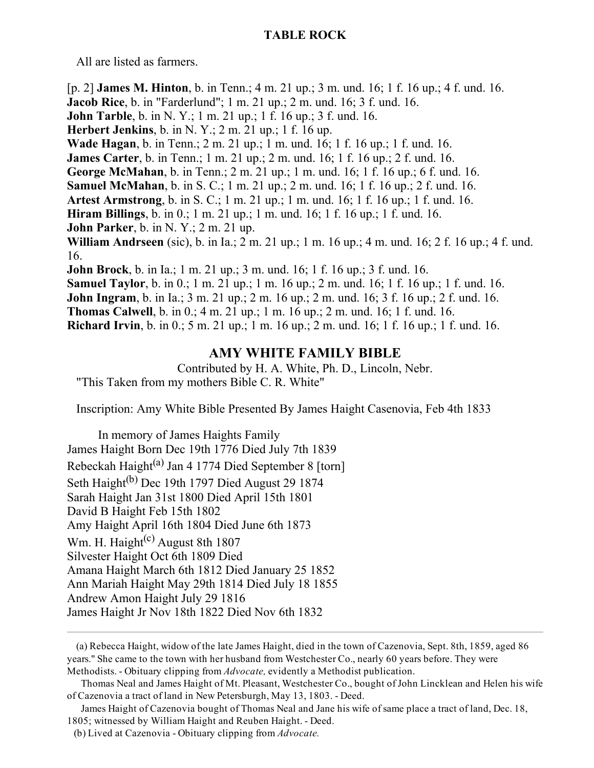#### TABLE ROCK

All are listed as farmers.

[p. 2] James M. Hinton, b. in Tenn.; 4 m. 21 up.; 3 m. und. 16; 1 f. 16 up.; 4 f. und. 16. Jacob Rice, b. in "Farderlund"; 1 m. 21 up.; 2 m. und. 16; 3 f. und. 16. **John Tarble**, b. in N. Y.; 1 m. 21 up.; 1 f. 16 up.; 3 f. und. 16. Herbert Jenkins, b. in N. Y.;  $2 \text{ m}$ .  $21 \text{ up}$ .; 1 f. 16 up. Wade Hagan, b. in Tenn.; 2 m. 21 up.; 1 m. und. 16; 1 f. 16 up.; 1 f. und. 16. James Carter, b. in Tenn.; 1 m. 21 up.; 2 m. und. 16; 1 f. 16 up.; 2 f. und. 16. George McMahan, b. in Tenn.; 2 m. 21 up.; 1 m. und. 16; 1 f. 16 up.; 6 f. und. 16. Samuel McMahan, b. in S. C.; 1 m. 21 up.; 2 m. und. 16; 1 f. 16 up.; 2 f. und. 16. Artest Armstrong, b. in S. C.; 1 m. 21 up.; 1 m. und. 16; 1 f. 16 up.; 1 f. und. 16. Hiram Billings, b. in 0.; 1 m. 21 up.; 1 m. und. 16; 1 f. 16 up.; 1 f. und. 16. **John Parker**, b. in N. Y.;  $2 \text{ m}$ . 21 up. William Andrseen (sic), b. in Ia.; 2 m. 21 up.; 1 m. 16 up.; 4 m. und. 16; 2 f. 16 up.; 4 f. und. 16. John Brock, b. in Ia.; 1 m. 21 up.; 3 m. und. 16; 1 f. 16 up.; 3 f. und. 16. Samuel Taylor, b. in 0.; 1 m. 21 up.; 1 m. 16 up.; 2 m. und. 16; 1 f. 16 up.; 1 f. und. 16. John Ingram, b. in Ia.; 3 m. 21 up.; 2 m. 16 up.; 2 m. und. 16; 3 f. 16 up.; 2 f. und. 16. Thomas Calwell, b. in 0.; 4 m. 21 up.; 1 m. 16 up.; 2 m. und. 16; 1 f. und. 16. Richard Irvin, b. in 0.; 5 m. 21 up.; 1 m. 16 up.; 2 m. und. 16; 1 f. 16 up.; 1 f. und. 16.

## AMY WHITE FAMILY BIBLE

Contributed by H. A. White, Ph. D., Lincoln, Nebr. "This Taken from my mothers Bible C. R. White"

Inscription: Amy White Bible Presented By James Haight Casenovia, Feb 4th 1833

In memory of James Haights Family James Haight Born Dec 19th 1776 Died July 7th 1839 Rebeckah Haight<sup>(a)</sup> Jan 4 1774 Died September 8 [torn] Seth Haight<sup>(b)</sup> Dec 19th 1797 Died August 29 1874 Sarah Haight Jan 31st 1800 Died April 15th 1801 David B Haight Feb 15th 1802 Amy Haight April 16th 1804 Died June 6th 1873 Wm. H. Haight<sup>(c)</sup> August 8th 1807 Silvester Haight Oct 6th 1809 Died Amana Haight March 6th 1812 Died January 25 1852 Ann Mariah Haight May 29th 1814 Died July 18 1855 Andrew Amon Haight July 29 1816 James Haight Jr Nov 18th 1822 Died Nov 6th 1832

<sup>(</sup>a) Rebecca Haight, widow of the late James Haight, died in the town of Cazenovia, Sept. 8th, 1859, aged 86 years." She came to the town with her husband from Westchester Co., nearly 60 years before. They were Methodists. - Obituary clipping from Advocate, evidently a Methodist publication.

Thomas Neal and James Haight of Mt. Pleasant, Westchester Co., bought of John Lincklean and Helen his wife of Cazenovia a tract of land in New Petersburgh, May 13, 1803. - Deed.

James Haight of Cazenovia bought of Thomas Neal and Jane his wife of same place a tract of land, Dec. 18, 1805; witnessed by William Haight and Reuben Haight. Deed.

<sup>(</sup>b) Lived at Cazenovia  $\sim$  Obituary clipping from Advocate.